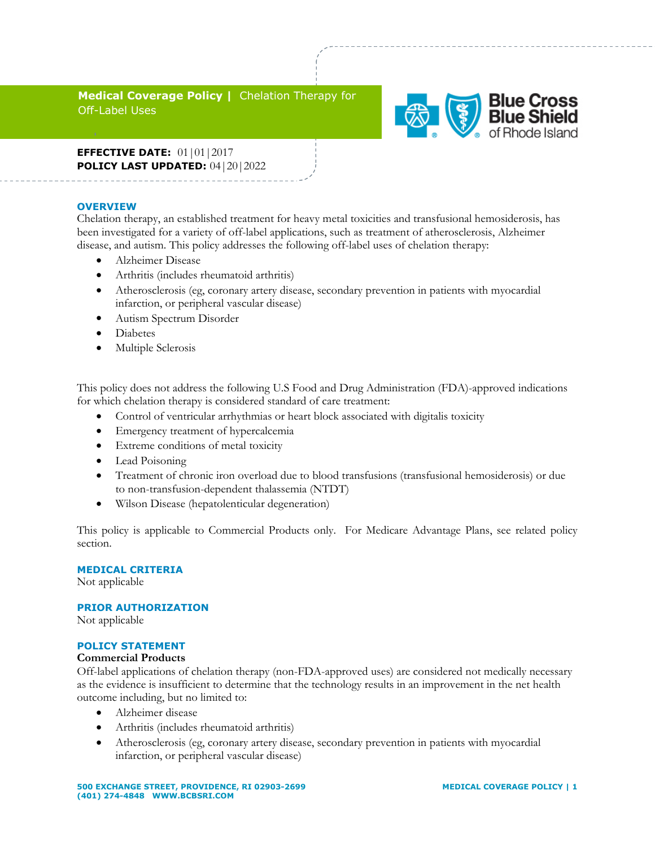## **Medical Coverage Policy |** Chelation Therapy for Off-Label Uses



**EFFECTIVE DATE:** 01|01|2017 **POLICY LAST UPDATED:** 04|20|2022

#### **OVERVIEW**

d

Chelation therapy, an established treatment for heavy metal toxicities and transfusional hemosiderosis, has been investigated for a variety of off-label applications, such as treatment of atherosclerosis, Alzheimer disease, and autism. This policy addresses the following off-label uses of chelation therapy:

- Alzheimer Disease
- Arthritis (includes rheumatoid arthritis)
- Atherosclerosis (eg, coronary artery disease, secondary prevention in patients with myocardial infarction, or peripheral vascular disease)
- Autism Spectrum Disorder
- Diabetes
- Multiple Sclerosis

This policy does not address the following U.S Food and Drug Administration (FDA)-approved indications for which chelation therapy is considered standard of care treatment:

- Control of ventricular arrhythmias or heart block associated with digitalis toxicity
- Emergency treatment of hypercalcemia
- Extreme conditions of metal toxicity
- Lead Poisoning
- Treatment of chronic iron overload due to blood transfusions (transfusional hemosiderosis) or due to non-transfusion-dependent thalassemia (NTDT)
- Wilson Disease (hepatolenticular degeneration)

This policy is applicable to Commercial Products only. For Medicare Advantage Plans, see related policy section.

## **MEDICAL CRITERIA**

Not applicable

## **PRIOR AUTHORIZATION**

Not applicable

#### **POLICY STATEMENT**

#### **Commercial Products**

Off-label applications of chelation therapy (non-FDA-approved uses) are considered not medically necessary as the evidence is insufficient to determine that the technology results in an improvement in the net health outcome including, but no limited to:

- Alzheimer disease
- Arthritis (includes rheumatoid arthritis)
- Atherosclerosis (eg, coronary artery disease, secondary prevention in patients with myocardial infarction, or peripheral vascular disease)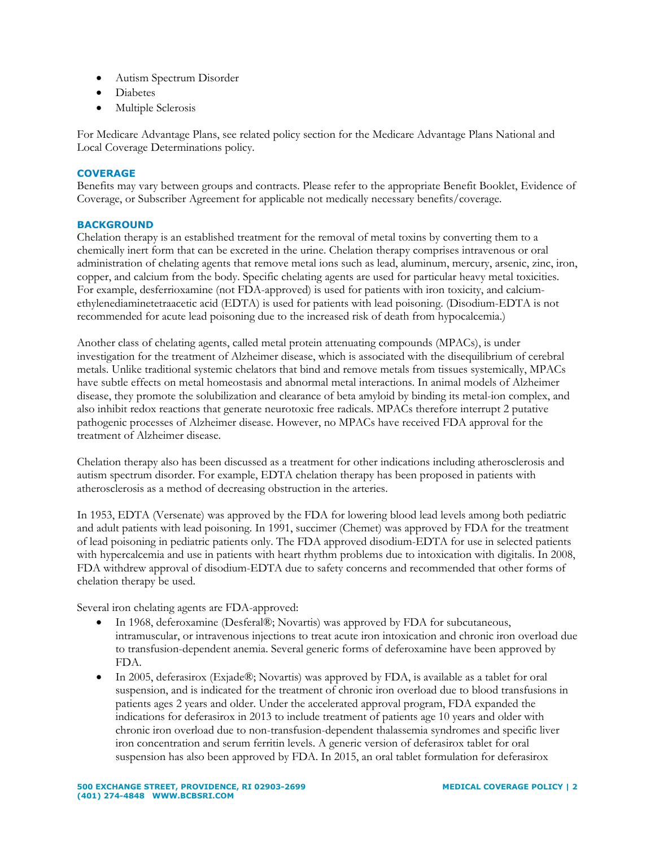- Autism Spectrum Disorder
- Diabetes
- Multiple Sclerosis

For Medicare Advantage Plans, see related policy section for the Medicare Advantage Plans National and Local Coverage Determinations policy.

#### **COVERAGE**

Benefits may vary between groups and contracts. Please refer to the appropriate Benefit Booklet, Evidence of Coverage, or Subscriber Agreement for applicable not medically necessary benefits/coverage.

#### **BACKGROUND**

Chelation therapy is an established treatment for the removal of metal toxins by converting them to a chemically inert form that can be excreted in the urine. Chelation therapy comprises intravenous or oral administration of chelating agents that remove metal ions such as lead, aluminum, mercury, arsenic, zinc, iron, copper, and calcium from the body. Specific chelating agents are used for particular heavy metal toxicities. For example, desferrioxamine (not FDA-approved) is used for patients with iron toxicity, and calciumethylenediaminetetraacetic acid (EDTA) is used for patients with lead poisoning. (Disodium-EDTA is not recommended for acute lead poisoning due to the increased risk of death from hypocalcemia.)

Another class of chelating agents, called metal protein attenuating compounds (MPACs), is under investigation for the treatment of Alzheimer disease, which is associated with the disequilibrium of cerebral metals. Unlike traditional systemic chelators that bind and remove metals from tissues systemically, MPACs have subtle effects on metal homeostasis and abnormal metal interactions. In animal models of Alzheimer disease, they promote the solubilization and clearance of beta amyloid by binding its metal-ion complex, and also inhibit redox reactions that generate neurotoxic free radicals. MPACs therefore interrupt 2 putative pathogenic processes of Alzheimer disease. However, no MPACs have received FDA approval for the treatment of Alzheimer disease.

Chelation therapy also has been discussed as a treatment for other indications including atherosclerosis and autism spectrum disorder. For example, EDTA chelation therapy has been proposed in patients with atherosclerosis as a method of decreasing obstruction in the arteries.

In 1953, EDTA (Versenate) was approved by the FDA for lowering blood lead levels among both pediatric and adult patients with lead poisoning. In 1991, succimer (Chemet) was approved by FDA for the treatment of lead poisoning in pediatric patients only. The FDA approved disodium-EDTA for use in selected patients with hypercalcemia and use in patients with heart rhythm problems due to intoxication with digitalis. In 2008, FDA withdrew approval of disodium-EDTA due to safety concerns and recommended that other forms of chelation therapy be used.

Several iron chelating agents are FDA-approved:

- In 1968, deferoxamine (Desferal®; Novartis) was approved by FDA for subcutaneous, intramuscular, or intravenous injections to treat acute iron intoxication and chronic iron overload due to transfusion-dependent anemia. Several generic forms of deferoxamine have been approved by FDA.
- In 2005, deferasirox (Exjade®; Novartis) was approved by FDA, is available as a tablet for oral suspension, and is indicated for the treatment of chronic iron overload due to blood transfusions in patients ages 2 years and older. Under the accelerated approval program, FDA expanded the indications for deferasirox in 2013 to include treatment of patients age 10 years and older with chronic iron overload due to non-transfusion-dependent thalassemia syndromes and specific liver iron concentration and serum ferritin levels. A generic version of deferasirox tablet for oral suspension has also been approved by FDA. In 2015, an oral tablet formulation for deferasirox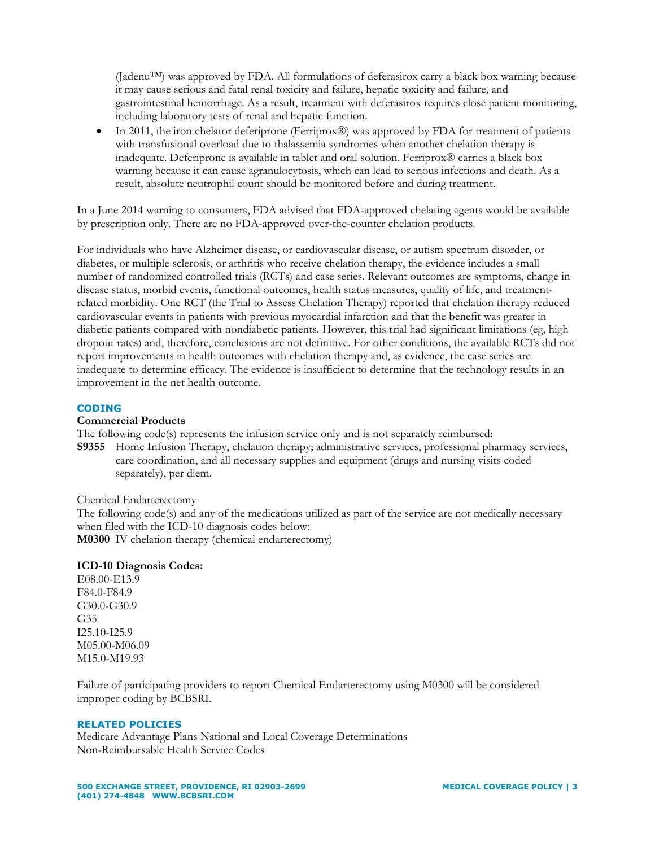(Jadenu™) was approved by FDA. All formulations of deferasirox carry a black box warning because it may cause serious and fatal renal toxicity and failure, hepatic toxicity and failure, and gastrointestinal hemorrhage. As a result, treatment with deferasirox requires close patient monitoring, including laboratory tests of renal and hepatic function.

 In 2011, the iron chelator deferiprone (Ferriprox®) was approved by FDA for treatment of patients with transfusional overload due to thalassemia syndromes when another chelation therapy is inadequate. Deferiprone is available in tablet and oral solution. Ferriprox® carries a black box warning because it can cause agranulocytosis, which can lead to serious infections and death. As a result, absolute neutrophil count should be monitored before and during treatment.

In a June 2014 warning to consumers, FDA advised that FDA-approved chelating agents would be available by prescription only. There are no FDA-approved over-the-counter chelation products.

For individuals who have Alzheimer disease, or cardiovascular disease, or autism spectrum disorder, or diabetes, or multiple sclerosis, or arthritis who receive chelation therapy, the evidence includes a small number of randomized controlled trials (RCTs) and case series. Relevant outcomes are symptoms, change in disease status, morbid events, functional outcomes, health status measures, quality of life, and treatmentrelated morbidity. One RCT (the Trial to Assess Chelation Therapy) reported that chelation therapy reduced cardiovascular events in patients with previous myocardial infarction and that the benefit was greater in diabetic patients compared with nondiabetic patients. However, this trial had significant limitations (eg, high dropout rates) and, therefore, conclusions are not definitive. For other conditions, the available RCTs did not report improvements in health outcomes with chelation therapy and, as evidence, the case series are inadequate to determine efficacy. The evidence is insufficient to determine that the technology results in an improvement in the net health outcome.

## **CODING**

#### **Commercial Products**

The following code(s) represents the infusion service only and is not separately reimbursed:

**S9355** Home Infusion Therapy, chelation therapy; administrative services, professional pharmacy services, care coordination, and all necessary supplies and equipment (drugs and nursing visits coded separately), per diem.

Chemical Endarterectomy

The following code(s) and any of the medications utilized as part of the service are not medically necessary when filed with the ICD-10 diagnosis codes below: **M0300** IV chelation therapy (chemical endarterectomy)

## **ICD-10 Diagnosis Codes:**

E08.00-E13.9 F84.0-F84.9 G30.0-G30.9 G35 I25.10-I25.9 M05.00-M06.09 M15.0-M19.93

Failure of participating providers to report Chemical Endarterectomy using M0300 will be considered improper coding by BCBSRI.

#### **RELATED POLICIES**

Medicare Advantage Plans National and Local Coverage Determinations Non-Reimbursable Health Service Codes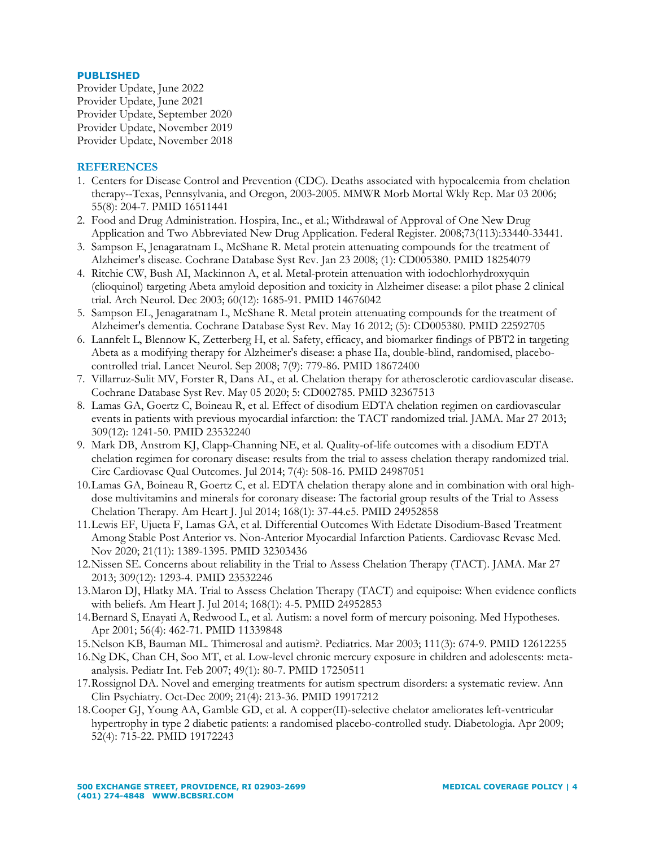## **PUBLISHED**

Provider Update, June 2022 Provider Update, June 2021 Provider Update, September 2020 Provider Update, November 2019 Provider Update, November 2018

# **REFERENCES**

- 1. Centers for Disease Control and Prevention (CDC). Deaths associated with hypocalcemia from chelation therapy--Texas, Pennsylvania, and Oregon, 2003-2005. MMWR Morb Mortal Wkly Rep. Mar 03 2006; 55(8): 204-7. PMID 16511441
- 2. Food and Drug Administration. Hospira, Inc., et al.; Withdrawal of Approval of One New Drug Application and Two Abbreviated New Drug Application. Federal Register. 2008;73(113):33440-33441.
- 3. Sampson E, Jenagaratnam L, McShane R. Metal protein attenuating compounds for the treatment of Alzheimer's disease. Cochrane Database Syst Rev. Jan 23 2008; (1): CD005380. PMID 18254079
- 4. Ritchie CW, Bush AI, Mackinnon A, et al. Metal-protein attenuation with iodochlorhydroxyquin (clioquinol) targeting Abeta amyloid deposition and toxicity in Alzheimer disease: a pilot phase 2 clinical trial. Arch Neurol. Dec 2003; 60(12): 1685-91. PMID 14676042
- 5. Sampson EL, Jenagaratnam L, McShane R. Metal protein attenuating compounds for the treatment of Alzheimer's dementia. Cochrane Database Syst Rev. May 16 2012; (5): CD005380. PMID 22592705
- 6. Lannfelt L, Blennow K, Zetterberg H, et al. Safety, efficacy, and biomarker findings of PBT2 in targeting Abeta as a modifying therapy for Alzheimer's disease: a phase IIa, double-blind, randomised, placebocontrolled trial. Lancet Neurol. Sep 2008; 7(9): 779-86. PMID 18672400
- 7. Villarruz-Sulit MV, Forster R, Dans AL, et al. Chelation therapy for atherosclerotic cardiovascular disease. Cochrane Database Syst Rev. May 05 2020; 5: CD002785. PMID 32367513
- 8. Lamas GA, Goertz C, Boineau R, et al. Effect of disodium EDTA chelation regimen on cardiovascular events in patients with previous myocardial infarction: the TACT randomized trial. JAMA. Mar 27 2013; 309(12): 1241-50. PMID 23532240
- 9. Mark DB, Anstrom KJ, Clapp-Channing NE, et al. Quality-of-life outcomes with a disodium EDTA chelation regimen for coronary disease: results from the trial to assess chelation therapy randomized trial. Circ Cardiovasc Qual Outcomes. Jul 2014; 7(4): 508-16. PMID 24987051
- 10.Lamas GA, Boineau R, Goertz C, et al. EDTA chelation therapy alone and in combination with oral highdose multivitamins and minerals for coronary disease: The factorial group results of the Trial to Assess Chelation Therapy. Am Heart J. Jul 2014; 168(1): 37-44.e5. PMID 24952858
- 11.Lewis EF, Ujueta F, Lamas GA, et al. Differential Outcomes With Edetate Disodium-Based Treatment Among Stable Post Anterior vs. Non-Anterior Myocardial Infarction Patients. Cardiovasc Revasc Med. Nov 2020; 21(11): 1389-1395. PMID 32303436
- 12.Nissen SE. Concerns about reliability in the Trial to Assess Chelation Therapy (TACT). JAMA. Mar 27 2013; 309(12): 1293-4. PMID 23532246
- 13.Maron DJ, Hlatky MA. Trial to Assess Chelation Therapy (TACT) and equipoise: When evidence conflicts with beliefs. Am Heart J. Jul 2014; 168(1): 4-5. PMID 24952853
- 14.Bernard S, Enayati A, Redwood L, et al. Autism: a novel form of mercury poisoning. Med Hypotheses. Apr 2001; 56(4): 462-71. PMID 11339848
- 15.Nelson KB, Bauman ML. Thimerosal and autism?. Pediatrics. Mar 2003; 111(3): 674-9. PMID 12612255
- 16.Ng DK, Chan CH, Soo MT, et al. Low-level chronic mercury exposure in children and adolescents: metaanalysis. Pediatr Int. Feb 2007; 49(1): 80-7. PMID 17250511
- 17.Rossignol DA. Novel and emerging treatments for autism spectrum disorders: a systematic review. Ann Clin Psychiatry. Oct-Dec 2009; 21(4): 213-36. PMID 19917212
- 18.Cooper GJ, Young AA, Gamble GD, et al. A copper(II)-selective chelator ameliorates left-ventricular hypertrophy in type 2 diabetic patients: a randomised placebo-controlled study. Diabetologia. Apr 2009; 52(4): 715-22. PMID 19172243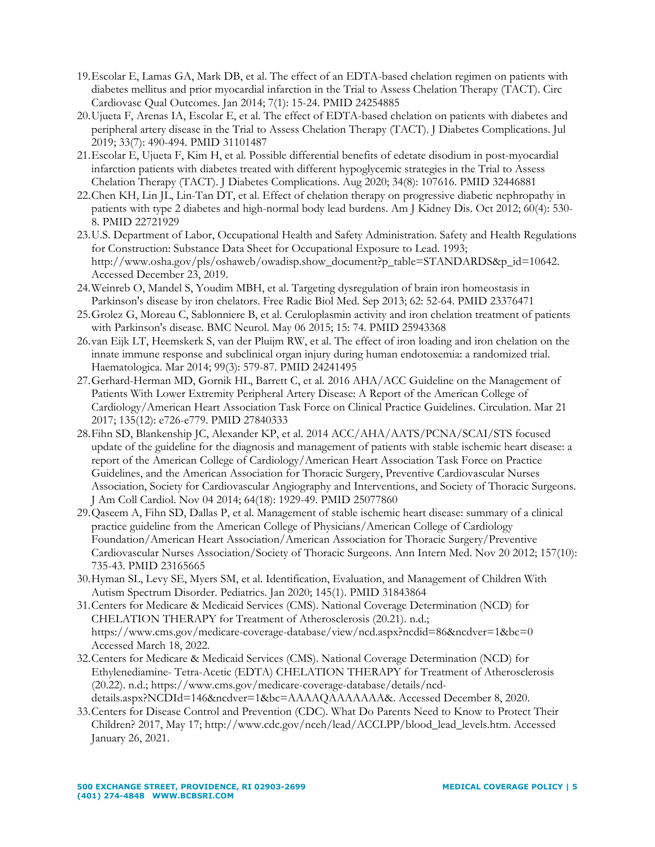- 19.Escolar E, Lamas GA, Mark DB, et al. The effect of an EDTA-based chelation regimen on patients with diabetes mellitus and prior myocardial infarction in the Trial to Assess Chelation Therapy (TACT). Circ Cardiovasc Qual Outcomes. Jan 2014; 7(1): 15-24. PMID 24254885
- 20.Ujueta F, Arenas IA, Escolar E, et al. The effect of EDTA-based chelation on patients with diabetes and peripheral artery disease in the Trial to Assess Chelation Therapy (TACT). J Diabetes Complications. Jul 2019; 33(7): 490-494. PMID 31101487
- 21.Escolar E, Ujueta F, Kim H, et al. Possible differential benefits of edetate disodium in post-myocardial infarction patients with diabetes treated with different hypoglycemic strategies in the Trial to Assess Chelation Therapy (TACT). J Diabetes Complications. Aug 2020; 34(8): 107616. PMID 32446881
- 22.Chen KH, Lin JL, Lin-Tan DT, et al. Effect of chelation therapy on progressive diabetic nephropathy in patients with type 2 diabetes and high-normal body lead burdens. Am J Kidney Dis. Oct 2012; 60(4): 530- 8. PMID 22721929
- 23.U.S. Department of Labor, Occupational Health and Safety Administration. Safety and Health Regulations for Construction: Substance Data Sheet for Occupational Exposure to Lead. 1993; http://www.osha.gov/pls/oshaweb/owadisp.show\_document?p\_table=STANDARDS&p\_id=10642. Accessed December 23, 2019.
- 24.Weinreb O, Mandel S, Youdim MBH, et al. Targeting dysregulation of brain iron homeostasis in Parkinson's disease by iron chelators. Free Radic Biol Med. Sep 2013; 62: 52-64. PMID 23376471
- 25.Grolez G, Moreau C, Sablonniere B, et al. Ceruloplasmin activity and iron chelation treatment of patients with Parkinson's disease. BMC Neurol. May 06 2015; 15: 74. PMID 25943368
- 26.van Eijk LT, Heemskerk S, van der Pluijm RW, et al. The effect of iron loading and iron chelation on the innate immune response and subclinical organ injury during human endotoxemia: a randomized trial. Haematologica. Mar 2014; 99(3): 579-87. PMID 24241495
- 27.Gerhard-Herman MD, Gornik HL, Barrett C, et al. 2016 AHA/ACC Guideline on the Management of Patients With Lower Extremity Peripheral Artery Disease: A Report of the American College of Cardiology/American Heart Association Task Force on Clinical Practice Guidelines. Circulation. Mar 21 2017; 135(12): e726-e779. PMID 27840333
- 28.Fihn SD, Blankenship JC, Alexander KP, et al. 2014 ACC/AHA/AATS/PCNA/SCAI/STS focused update of the guideline for the diagnosis and management of patients with stable ischemic heart disease: a report of the American College of Cardiology/American Heart Association Task Force on Practice Guidelines, and the American Association for Thoracic Surgery, Preventive Cardiovascular Nurses Association, Society for Cardiovascular Angiography and Interventions, and Society of Thoracic Surgeons. J Am Coll Cardiol. Nov 04 2014; 64(18): 1929-49. PMID 25077860
- 29.Qaseem A, Fihn SD, Dallas P, et al. Management of stable ischemic heart disease: summary of a clinical practice guideline from the American College of Physicians/American College of Cardiology Foundation/American Heart Association/American Association for Thoracic Surgery/Preventive Cardiovascular Nurses Association/Society of Thoracic Surgeons. Ann Intern Med. Nov 20 2012; 157(10): 735-43. PMID 23165665
- 30.Hyman SL, Levy SE, Myers SM, et al. Identification, Evaluation, and Management of Children With Autism Spectrum Disorder. Pediatrics. Jan 2020; 145(1). PMID 31843864
- 31.Centers for Medicare & Medicaid Services (CMS). National Coverage Determination (NCD) for CHELATION THERAPY for Treatment of Atherosclerosis (20.21). n.d.; https://www.cms.gov/medicare-coverage-database/view/ncd.aspx?ncdid=86&ncdver=1&bc=0 Accessed March 18, 2022.
- 32.Centers for Medicare & Medicaid Services (CMS). National Coverage Determination (NCD) for Ethylenediamine- Tetra-Acetic (EDTA) CHELATION THERAPY for Treatment of Atherosclerosis (20.22). n.d.; https://www.cms.gov/medicare-coverage-database/details/ncddetails.aspx?NCDId=146&ncdver=1&bc=AAAAQAAAAAAA&. Accessed December 8, 2020.
- 33.Centers for Disease Control and Prevention (CDC). What Do Parents Need to Know to Protect Their Children? 2017, May 17; http://www.cdc.gov/nceh/lead/ACCLPP/blood\_lead\_levels.htm. Accessed January 26, 2021.